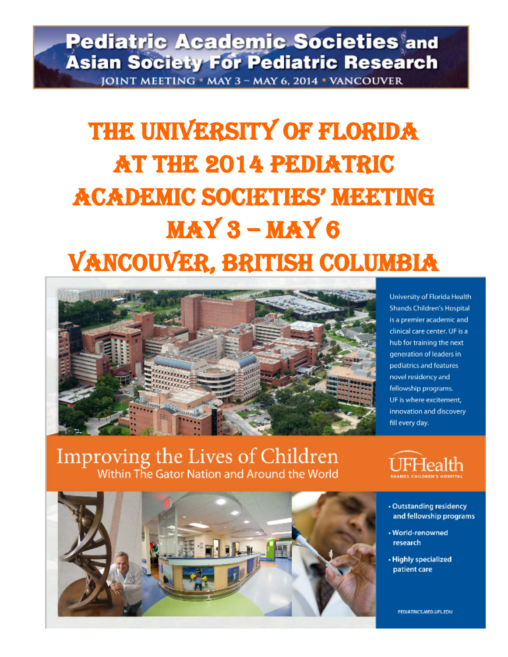# **Pediatric Academic Societies and Asian Society For Pediatric Research** JOINT MEETING . MAY 3 - MAY 6, 2014 . VANCOUVER

# THE UNIVERSITY OF FLORIDA AT THE 2014 PEDIATRIC ACADEMIC SOCIETIES' MEETING MAY 3 – MAY 6 Vancouver, british Columbia



University of Florida Health Shands Children's Hospital is a premier academic and clinical care center. UF is a hub for training the next generation of leaders in pediatrics and features novel residency and fellowship programs. UF is where excitement. innovation and discovery fill every day.

Improving the Lives of Children<br>Within The Gator Nation and Around the World



· Outstanding residency and fellowship programs

- · World-renowned research
- · Highly specialized patient care

PEDIATRICS.MED.UFLEDU

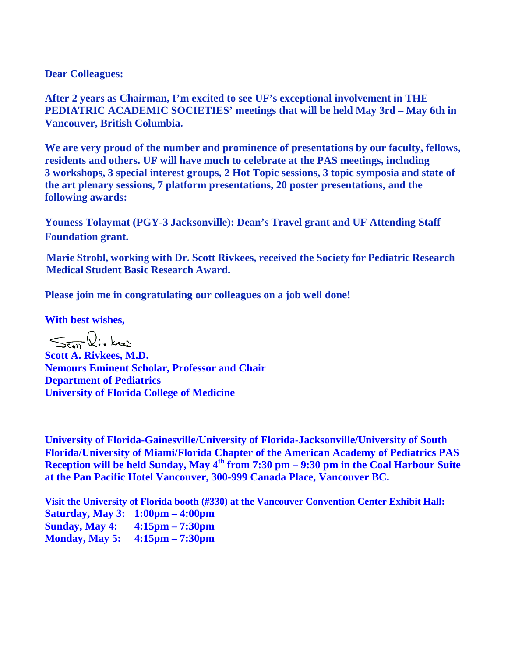## **Dear Colleagues:**

**After 2 years as Chairman, I'm excited to see UF's exceptional involvement in THE PEDIATRIC ACADEMIC SOCIETIES' meetings that will be held May 3rd – May 6th in Vancouver, British Columbia.**

**We are very proud of the number and prominence of presentations by our faculty, fellows, residents and others. UF will have much to celebrate at the PAS meetings, including 3 workshops, 3 special interest groups, 2 Hot Topic sessions, 3 topic symposia and state of the art plenary sessions, 7 platform presentations, 20 poster presentations, and the following awards:** 

**Youness Tolaymat (PGY-3 Jacksonville): Dean's Travel grant and UF Attending Staff Foundation grant.**

**Marie Strobl, working with Dr. Scott Rivkees, received the Society for Pediatric Research Medical Student Basic Research Award.**

**Please join me in congratulating our colleagues on a job well done!**

**With best wishes,**

 $\leq$   $\overline{\zeta_{\mathfrak{on}}}$   $\mathbb{Q}$ :  $\overline{\zeta_{\mathfrak{so}}}$ 

**Scott A. Rivkees, M.D. Nemours Eminent Scholar, Professor and Chair Department of Pediatrics University of Florida College of Medicine**

**University of Florida-Gainesville/University of Florida-Jacksonville/University of South Florida/University of Miami/Florida Chapter of the American Academy of Pediatrics PAS Reception will be held Sunday, May 4th from 7:30 pm – 9:30 pm in the Coal Harbour Suite at the Pan Pacific Hotel Vancouver, 300-999 Canada Place, Vancouver BC.**

**Visit the University of Florida booth (#330) at the Vancouver Convention Center Exhibit Hall: Saturday, May 3: 1:00pm – 4:00pm Sunday, May 4: 4:15pm – 7:30pm Monday, May 5: 4:15pm – 7:30pm**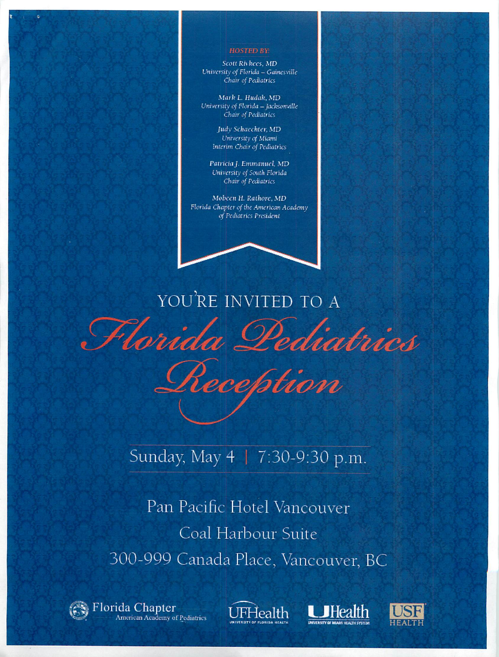#### **HOSTED BY:**

Scott Rivkees, MD University of Florida - Gainesville Chair of Pediatrics

Mark L. Hudak, MD University of Florida - Jacksonville Chair of Pediatrics

> Judy Schaechter, MD University of Miami Interim Chair of Pediatrics

Patricia J. Emmanuel, MD University of South Florida Chair of Pediatrics

Mobeen H. Rathore, MD Florida Chapter of the American Academy of Pediatrics President

YOU'RE INVITED TO A Florida Pediatrics reption

Sunday, May 4 | 7:30-9:30 p.m.

Pan Pacific Hotel Vancouver Coal Harbour Suite 300-999 Canada Place, Vancouver, BC

Florida Chapter American Academy of Pediatrics **JFHealth** 



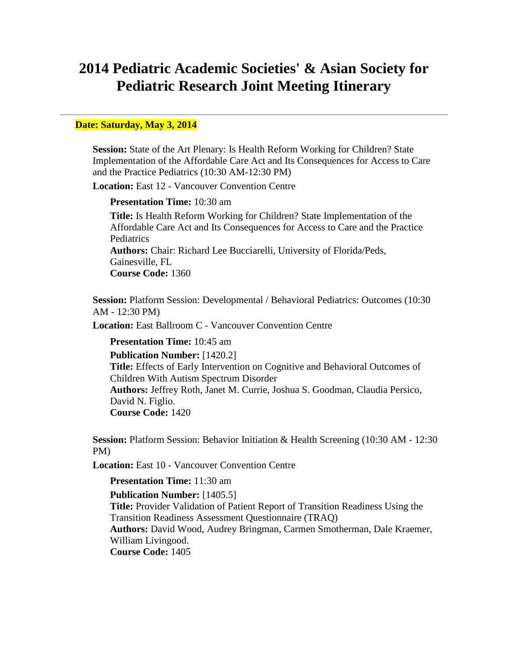# **2014 Pediatric Academic Societies' & Asian Society for Pediatric Research Joint Meeting Itinerary**

#### **Date: Saturday, May 3, 2014**

**Session:** State of the Art Plenary: Is Health Reform Working for Children? State Implementation of the Affordable Care Act and Its Consequences for Access to Care and the Practice Pediatrics (10:30 AM-12:30 PM)

**Location:** East 12 - Vancouver Convention Centre

#### **Presentation Time:** 10:30 am

**Title:** Is Health Reform Working for Children? State Implementation of the Affordable Care Act and Its Consequences for Access to Care and the Practice **Pediatrics Authors:** Chair: Richard Lee Bucciarelli, University of Florida/Peds, Gainesville, FL **Course Code:** 1360

**Session:** Platform Session: Developmental / Behavioral Pediatrics: Outcomes (10:30 AM - 12:30 PM)

**Location:** East Ballroom C - Vancouver Convention Centre

#### **Presentation Time:** 10:45 am

**Publication Number:** [1420.2] **Title:** Effects of Early Intervention on Cognitive and Behavioral Outcomes of Children With Autism Spectrum Disorder **Authors:** Jeffrey Roth, Janet M. Currie, Joshua S. Goodman, Claudia Persico, David N. Figlio. **Course Code:** 1420

**Session:** Platform Session: Behavior Initiation & Health Screening (10:30 AM - 12:30 PM)

**Location:** East 10 - Vancouver Convention Centre

#### **Presentation Time:** 11:30 am

#### **Publication Number:** [1405.5]

**Title:** Provider Validation of Patient Report of Transition Readiness Using the Transition Readiness Assessment Questionnaire (TRAQ) **Authors:** David Wood, Audrey Bringman, Carmen Smotherman, Dale Kraemer, William Livingood. **Course Code:** 1405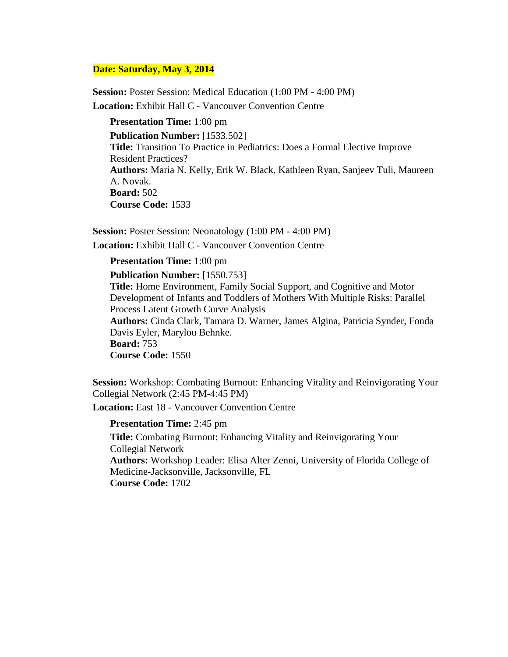#### **Date: Saturday, May 3, 2014**

**Session:** Poster Session: Medical Education (1:00 PM - 4:00 PM) **Location:** Exhibit Hall C - Vancouver Convention Centre

**Presentation Time:** 1:00 pm **Publication Number:** [1533.502] **Title:** Transition To Practice in Pediatrics: Does a Formal Elective Improve Resident Practices? **Authors:** Maria N. Kelly, Erik W. Black, Kathleen Ryan, Sanjeev Tuli, Maureen A. Novak. **Board:** 502 **Course Code:** 1533

**Session: Poster Session: Neonatology (1:00 PM - 4:00 PM)** 

**Location:** Exhibit Hall C - Vancouver Convention Centre

#### **Presentation Time:** 1:00 pm

**Publication Number:** [1550.753]

**Title:** Home Environment, Family Social Support, and Cognitive and Motor Development of Infants and Toddlers of Mothers With Multiple Risks: Parallel Process Latent Growth Curve Analysis **Authors:** Cinda Clark, Tamara D. Warner, James Algina, Patricia Synder, Fonda Davis Eyler, Marylou Behnke.

**Board:** 753 **Course Code:** 1550

**Session:** Workshop: Combating Burnout: Enhancing Vitality and Reinvigorating Your Collegial Network (2:45 PM-4:45 PM)

**Location:** East 18 - Vancouver Convention Centre

#### **Presentation Time:** 2:45 pm

**Title:** Combating Burnout: Enhancing Vitality and Reinvigorating Your Collegial Network

**Authors:** Workshop Leader: Elisa Alter Zenni, University of Florida College of Medicine-Jacksonville, Jacksonville, FL

**Course Code:** 1702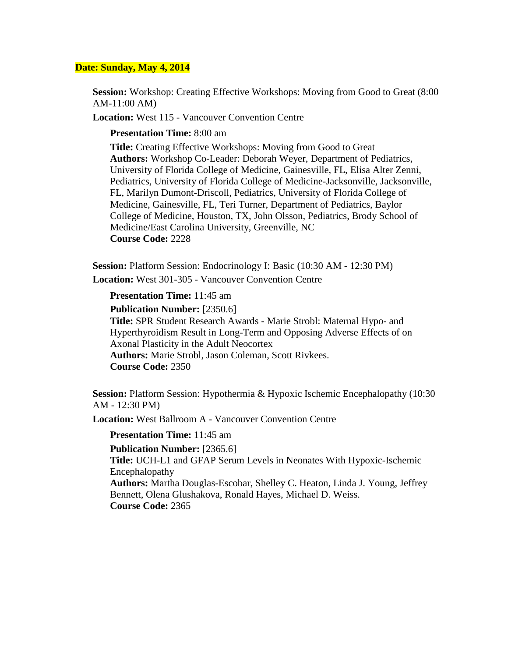**Session:** Workshop: Creating Effective Workshops: Moving from Good to Great (8:00 AM-11:00 AM)

**Location:** West 115 - Vancouver Convention Centre

**Presentation Time:** 8:00 am

**Title:** Creating Effective Workshops: Moving from Good to Great **Authors:** Workshop Co-Leader: Deborah Weyer, Department of Pediatrics, University of Florida College of Medicine, Gainesville, FL, Elisa Alter Zenni, Pediatrics, University of Florida College of Medicine-Jacksonville, Jacksonville, FL, Marilyn Dumont-Driscoll, Pediatrics, University of Florida College of Medicine, Gainesville, FL, Teri Turner, Department of Pediatrics, Baylor College of Medicine, Houston, TX, John Olsson, Pediatrics, Brody School of Medicine/East Carolina University, Greenville, NC **Course Code:** 2228

**Session:** Platform Session: Endocrinology I: Basic (10:30 AM - 12:30 PM)

**Location:** West 301-305 - Vancouver Convention Centre

**Presentation Time:** 11:45 am

**Publication Number:** [2350.6]

**Title:** SPR Student Research Awards - Marie Strobl: Maternal Hypo- and Hyperthyroidism Result in Long-Term and Opposing Adverse Effects of on Axonal Plasticity in the Adult Neocortex **Authors:** Marie Strobl, Jason Coleman, Scott Rivkees. **Course Code:** 2350

**Session: Platform Session: Hypothermia & Hypoxic Ischemic Encephalopathy (10:30)** AM - 12:30 PM)

**Location:** West Ballroom A - Vancouver Convention Centre

**Presentation Time:** 11:45 am

**Publication Number:** [2365.6]

**Title:** UCH-L1 and GFAP Serum Levels in Neonates With Hypoxic-Ischemic Encephalopathy

**Authors:** Martha Douglas-Escobar, Shelley C. Heaton, Linda J. Young, Jeffrey Bennett, Olena Glushakova, Ronald Hayes, Michael D. Weiss. **Course Code:** 2365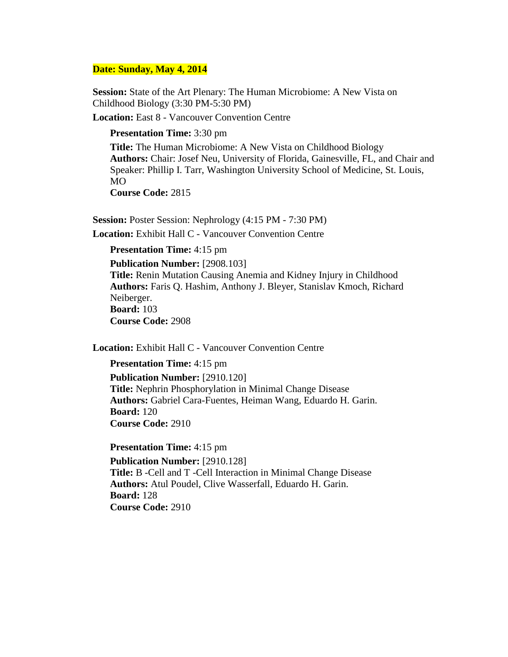**Session:** State of the Art Plenary: The Human Microbiome: A New Vista on Childhood Biology (3:30 PM-5:30 PM)

**Location:** East 8 - Vancouver Convention Centre

#### **Presentation Time:** 3:30 pm

**Title:** The Human Microbiome: A New Vista on Childhood Biology **Authors:** Chair: Josef Neu, University of Florida, Gainesville, FL, and Chair and Speaker: Phillip I. Tarr, Washington University School of Medicine, St. Louis, MO **Course Code:** 2815

**Session:** Poster Session: Nephrology (4:15 PM - 7:30 PM) **Location:** Exhibit Hall C - Vancouver Convention Centre

#### **Presentation Time:** 4:15 pm

**Publication Number:** [2908.103] **Title:** Renin Mutation Causing Anemia and Kidney Injury in Childhood **Authors:** Faris Q. Hashim, Anthony J. Bleyer, Stanislav Kmoch, Richard Neiberger. **Board:** 103 **Course Code:** 2908

**Location:** Exhibit Hall C - Vancouver Convention Centre

**Presentation Time:** 4:15 pm

**Publication Number:** [2910.120] **Title:** Nephrin Phosphorylation in Minimal Change Disease **Authors:** Gabriel Cara-Fuentes, Heiman Wang, Eduardo H. Garin. **Board:** 120 **Course Code:** 2910

#### **Presentation Time:** 4:15 pm

**Publication Number:** [2910.128] **Title:** B -Cell and T -Cell Interaction in Minimal Change Disease **Authors:** Atul Poudel, Clive Wasserfall, Eduardo H. Garin. **Board:** 128 **Course Code:** 2910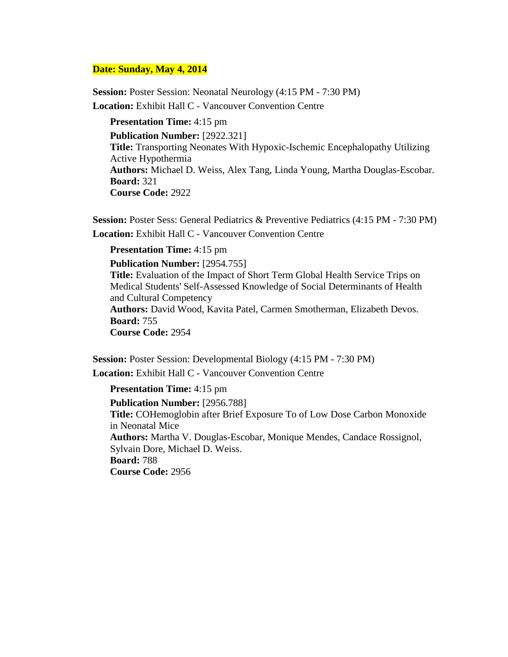**Session:** Poster Session: Neonatal Neurology (4:15 PM - 7:30 PM) **Location:** Exhibit Hall C - Vancouver Convention Centre

**Presentation Time:** 4:15 pm **Publication Number:** [2922.321] **Title:** Transporting Neonates With Hypoxic-Ischemic Encephalopathy Utilizing Active Hypothermia **Authors:** Michael D. Weiss, Alex Tang, Linda Young, Martha Douglas-Escobar. **Board:** 321 **Course Code:** 2922

**Session:** Poster Sess: General Pediatrics & Preventive Pediatrics (4:15 PM - 7:30 PM) **Location:** Exhibit Hall C - Vancouver Convention Centre

**Presentation Time:** 4:15 pm

**Publication Number:** [2954.755] **Title:** Evaluation of the Impact of Short Term Global Health Service Trips on Medical Students' Self-Assessed Knowledge of Social Determinants of Health and Cultural Competency **Authors:** David Wood, Kavita Patel, Carmen Smotherman, Elizabeth Devos. **Board:** 755 **Course Code:** 2954

**Session:** Poster Session: Developmental Biology (4:15 PM - 7:30 PM) **Location:** Exhibit Hall C - Vancouver Convention Centre

**Presentation Time:** 4:15 pm

**Publication Number:** [2956.788] **Title:** COHemoglobin after Brief Exposure To of Low Dose Carbon Monoxide in Neonatal Mice **Authors:** Martha V. Douglas-Escobar, Monique Mendes, Candace Rossignol, Sylvain Dore, Michael D. Weiss. **Board:** 788 **Course Code:** 2956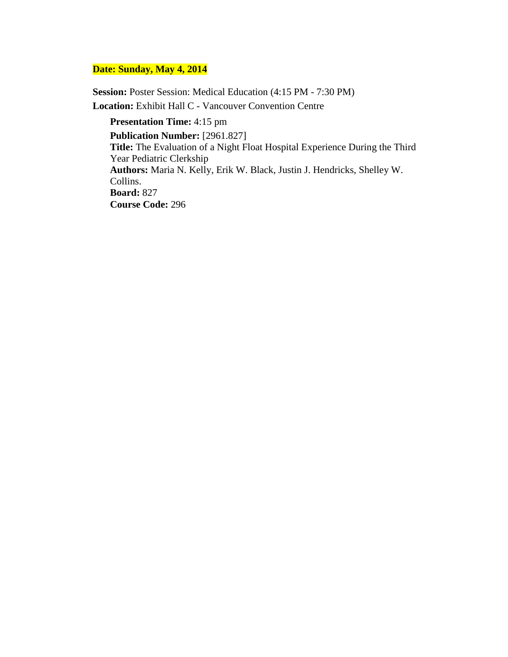**Session:** Poster Session: Medical Education (4:15 PM - 7:30 PM) **Location:** Exhibit Hall C - Vancouver Convention Centre

**Presentation Time:** 4:15 pm **Publication Number:** [2961.827] **Title:** The Evaluation of a Night Float Hospital Experience During the Third Year Pediatric Clerkship **Authors:** Maria N. Kelly, Erik W. Black, Justin J. Hendricks, Shelley W. Collins. **Board:** 827 **Course Code:** 296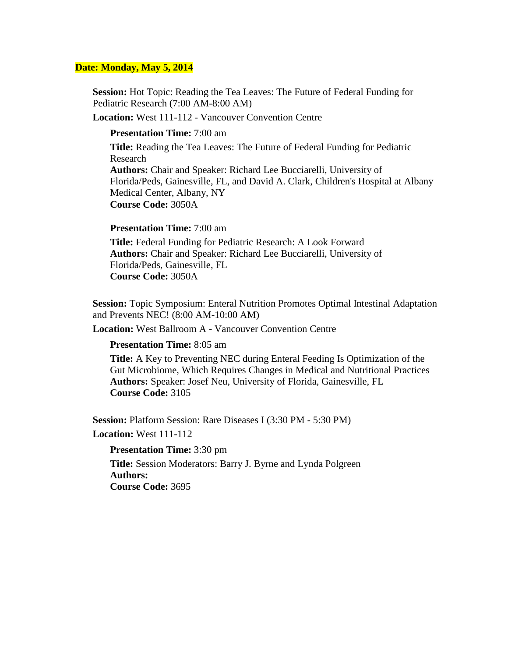**Session:** Hot Topic: Reading the Tea Leaves: The Future of Federal Funding for Pediatric Research (7:00 AM-8:00 AM)

**Location:** West 111-112 - Vancouver Convention Centre

#### **Presentation Time:** 7:00 am

**Title:** Reading the Tea Leaves: The Future of Federal Funding for Pediatric Research **Authors:** Chair and Speaker: Richard Lee Bucciarelli, University of Florida/Peds, Gainesville, FL, and David A. Clark, Children's Hospital at Albany Medical Center, Albany, NY **Course Code:** 3050A

#### **Presentation Time:** 7:00 am

**Title:** Federal Funding for Pediatric Research: A Look Forward **Authors:** Chair and Speaker: Richard Lee Bucciarelli, University of Florida/Peds, Gainesville, FL **Course Code:** 3050A

**Session:** Topic Symposium: Enteral Nutrition Promotes Optimal Intestinal Adaptation and Prevents NEC! (8:00 AM-10:00 AM)

**Location:** West Ballroom A - Vancouver Convention Centre

#### **Presentation Time:** 8:05 am

**Title:** A Key to Preventing NEC during Enteral Feeding Is Optimization of the Gut Microbiome, Which Requires Changes in Medical and Nutritional Practices **Authors:** Speaker: Josef Neu, University of Florida, Gainesville, FL **Course Code:** 3105

**Session:** Platform Session: Rare Diseases I (3:30 PM - 5:30 PM)

**Location:** West 111-112

**Presentation Time:** 3:30 pm

**Title:** Session Moderators: Barry J. Byrne and Lynda Polgreen **Authors: Course Code:** 3695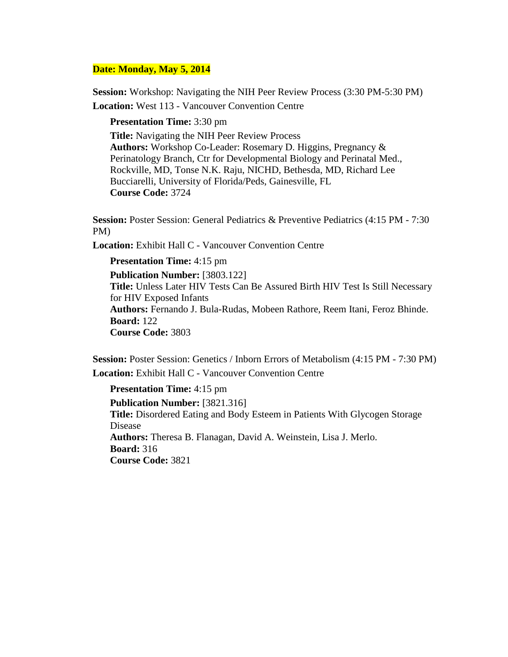**Session:** Workshop: Navigating the NIH Peer Review Process (3:30 PM-5:30 PM)

**Location:** West 113 - Vancouver Convention Centre

**Presentation Time:** 3:30 pm

**Title:** Navigating the NIH Peer Review Process **Authors:** Workshop Co-Leader: Rosemary D. Higgins, Pregnancy & Perinatology Branch, Ctr for Developmental Biology and Perinatal Med., Rockville, MD, Tonse N.K. Raju, NICHD, Bethesda, MD, Richard Lee Bucciarelli, University of Florida/Peds, Gainesville, FL **Course Code:** 3724

**Session:** Poster Session: General Pediatrics & Preventive Pediatrics (4:15 PM - 7:30 PM)

**Location:** Exhibit Hall C - Vancouver Convention Centre

**Presentation Time:** 4:15 pm **Publication Number:** [3803.122] **Title:** Unless Later HIV Tests Can Be Assured Birth HIV Test Is Still Necessary for HIV Exposed Infants **Authors:** Fernando J. Bula-Rudas, Mobeen Rathore, Reem Itani, Feroz Bhinde. **Board:** 122 **Course Code:** 3803

**Session:** Poster Session: Genetics / Inborn Errors of Metabolism (4:15 PM - 7:30 PM) **Location:** Exhibit Hall C - Vancouver Convention Centre

**Presentation Time:** 4:15 pm

**Publication Number:** [3821.316] **Title:** Disordered Eating and Body Esteem in Patients With Glycogen Storage Disease **Authors:** Theresa B. Flanagan, David A. Weinstein, Lisa J. Merlo. **Board:** 316 **Course Code:** 3821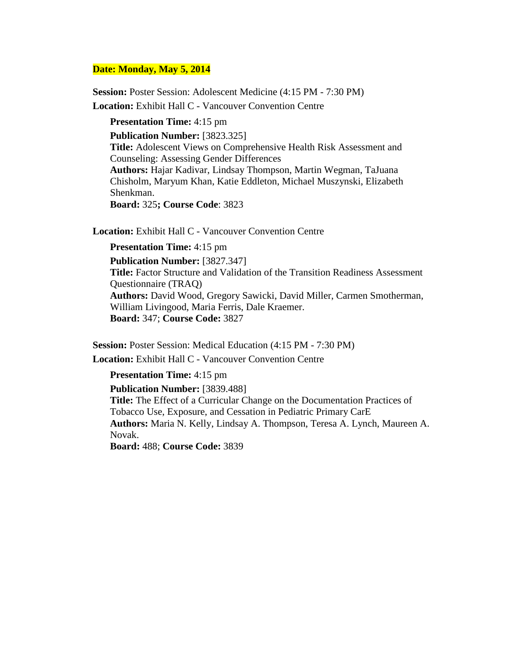**Session:** Poster Session: Adolescent Medicine (4:15 PM - 7:30 PM)

**Location:** Exhibit Hall C - Vancouver Convention Centre

**Presentation Time:** 4:15 pm **Publication Number:** [3823.325] **Title:** Adolescent Views on Comprehensive Health Risk Assessment and Counseling: Assessing Gender Differences **Authors:** Hajar Kadivar, Lindsay Thompson, Martin Wegman, TaJuana Chisholm, Maryum Khan, Katie Eddleton, Michael Muszynski, Elizabeth Shenkman. **Board:** 325**; Course Code**: 3823

**Location:** Exhibit Hall C - Vancouver Convention Centre

**Presentation Time:** 4:15 pm

**Publication Number:** [3827.347] **Title:** Factor Structure and Validation of the Transition Readiness Assessment Questionnaire (TRAQ) **Authors:** David Wood, Gregory Sawicki, David Miller, Carmen Smotherman, William Livingood, Maria Ferris, Dale Kraemer. **Board:** 347; **Course Code:** 3827

**Session:** Poster Session: Medical Education (4:15 PM - 7:30 PM)

**Location:** Exhibit Hall C - Vancouver Convention Centre

**Presentation Time:** 4:15 pm

**Publication Number:** [3839.488]

**Title:** The Effect of a Curricular Change on the Documentation Practices of Tobacco Use, Exposure, and Cessation in Pediatric Primary CarE **Authors:** Maria N. Kelly, Lindsay A. Thompson, Teresa A. Lynch, Maureen A. Novak.

**Board:** 488; **Course Code:** 3839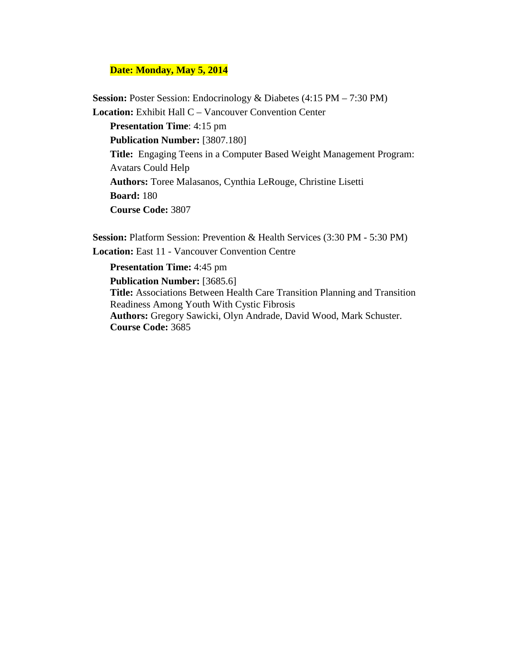**Session:** Poster Session: Endocrinology & Diabetes (4:15 PM – 7:30 PM) **Location:** Exhibit Hall C – Vancouver Convention Center  **Presentation Time**: 4:15 pm  **Publication Number:** [3807.180]  **Title:** Engaging Teens in a Computer Based Weight Management Program: Avatars Could Help

 **Authors:** Toree Malasanos, Cynthia LeRouge, Christine Lisetti  **Board:** 180

 **Course Code:** 3807

**Session: Platform Session: Prevention & Health Services (3:30 PM - 5:30 PM) Location:** East 11 - Vancouver Convention Centre

#### **Presentation Time:** 4:45 pm

**Publication Number:** [3685.6]

**Title:** Associations Between Health Care Transition Planning and Transition Readiness Among Youth With Cystic Fibrosis

**Authors:** Gregory Sawicki, Olyn Andrade, David Wood, Mark Schuster. **Course Code:** 3685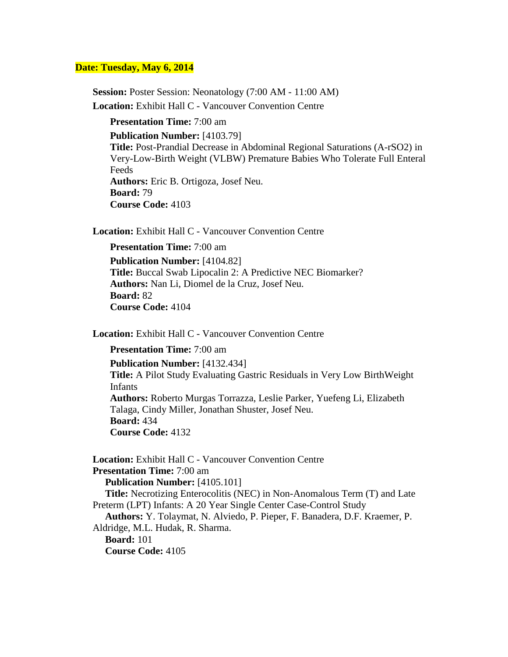#### **Date: Tuesday, May 6, 2014**

**Session: Poster Session: Neonatology (7:00 AM - 11:00 AM) Location:** Exhibit Hall C - Vancouver Convention Centre

**Presentation Time:** 7:00 am **Publication Number:** [4103.79] **Title:** Post-Prandial Decrease in Abdominal Regional Saturations (A-rSO2) in Very-Low-Birth Weight (VLBW) Premature Babies Who Tolerate Full Enteral Feeds **Authors:** Eric B. Ortigoza, Josef Neu. **Board:** 79 **Course Code:** 4103

**Location:** Exhibit Hall C - Vancouver Convention Centre

**Presentation Time:** 7:00 am **Publication Number:** [4104.82] **Title:** Buccal Swab Lipocalin 2: A Predictive NEC Biomarker? **Authors:** Nan Li, Diomel de la Cruz, Josef Neu. **Board:** 82 **Course Code:** 4104

**Location:** Exhibit Hall C - Vancouver Convention Centre

**Presentation Time:** 7:00 am

**Publication Number:** [4132.434] **Title:** A Pilot Study Evaluating Gastric Residuals in Very Low BirthWeight Infants **Authors:** Roberto Murgas Torrazza, Leslie Parker, Yuefeng Li, Elizabeth Talaga, Cindy Miller, Jonathan Shuster, Josef Neu. **Board:** 434 **Course Code:** 4132

**Location:** Exhibit Hall C - Vancouver Convention Centre **Presentation Time:** 7:00 am  **Publication Number:** [4105.101]  **Title:** Necrotizing Enterocolitis (NEC) in Non-Anomalous Term (T) and Late Preterm (LPT) Infants: A 20 Year Single Center Case-Control Study  **Authors:** Y. Tolaymat, N. Alviedo, P. Pieper, F. Banadera, D.F. Kraemer, P. Aldridge, M.L. Hudak, R. Sharma.  **Board:** 101  **Course Code:** 4105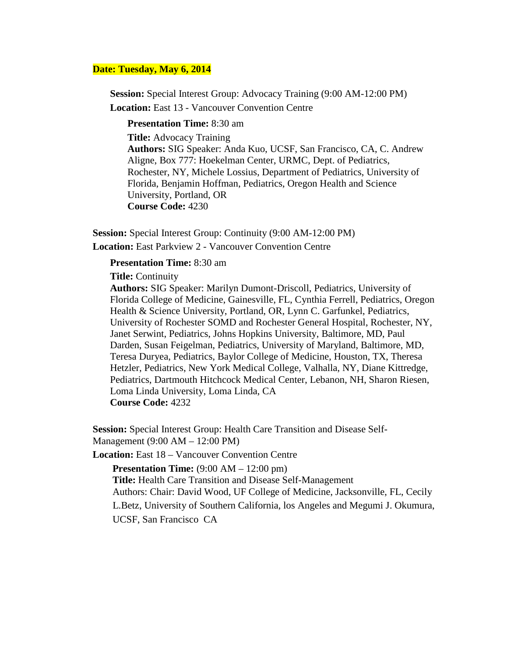### **Date: Tuesday, May 6, 2014**

**Session:** Special Interest Group: Advocacy Training (9:00 AM-12:00 PM)

**Location:** East 13 - Vancouver Convention Centre

**Presentation Time:** 8:30 am

**Title:** Advocacy Training **Authors:** SIG Speaker: Anda Kuo, UCSF, San Francisco, CA, C. Andrew Aligne, Box 777: Hoekelman Center, URMC, Dept. of Pediatrics, Rochester, NY, Michele Lossius, Department of Pediatrics, University of Florida, Benjamin Hoffman, Pediatrics, Oregon Health and Science University, Portland, OR **Course Code:** 4230

**Session:** Special Interest Group: Continuity (9:00 AM-12:00 PM) **Location:** East Parkview 2 - Vancouver Convention Centre

#### **Presentation Time:** 8:30 am

**Title:** Continuity

**Authors:** SIG Speaker: Marilyn Dumont-Driscoll, Pediatrics, University of Florida College of Medicine, Gainesville, FL, Cynthia Ferrell, Pediatrics, Oregon Health & Science University, Portland, OR, Lynn C. Garfunkel, Pediatrics, University of Rochester SOMD and Rochester General Hospital, Rochester, NY, Janet Serwint, Pediatrics, Johns Hopkins University, Baltimore, MD, Paul Darden, Susan Feigelman, Pediatrics, University of Maryland, Baltimore, MD, Teresa Duryea, Pediatrics, Baylor College of Medicine, Houston, TX, Theresa Hetzler, Pediatrics, New York Medical College, Valhalla, NY, Diane Kittredge, Pediatrics, Dartmouth Hitchcock Medical Center, Lebanon, NH, Sharon Riesen, Loma Linda University, Loma Linda, CA **Course Code:** 4232

**Session:** Special Interest Group: Health Care Transition and Disease Self-Management (9:00 AM – 12:00 PM)

**Location:** East 18 – Vancouver Convention Centre

**Presentation Time:**  $(9:00 \text{ AM} - 12:00 \text{ pm})$  **Title:** Health Care Transition and Disease Self-Management Authors: Chair: David Wood, UF College of Medicine, Jacksonville, FL, Cecily L.Betz, University of Southern California, los Angeles and Megumi J. Okumura,

UCSF, San Francisco CA